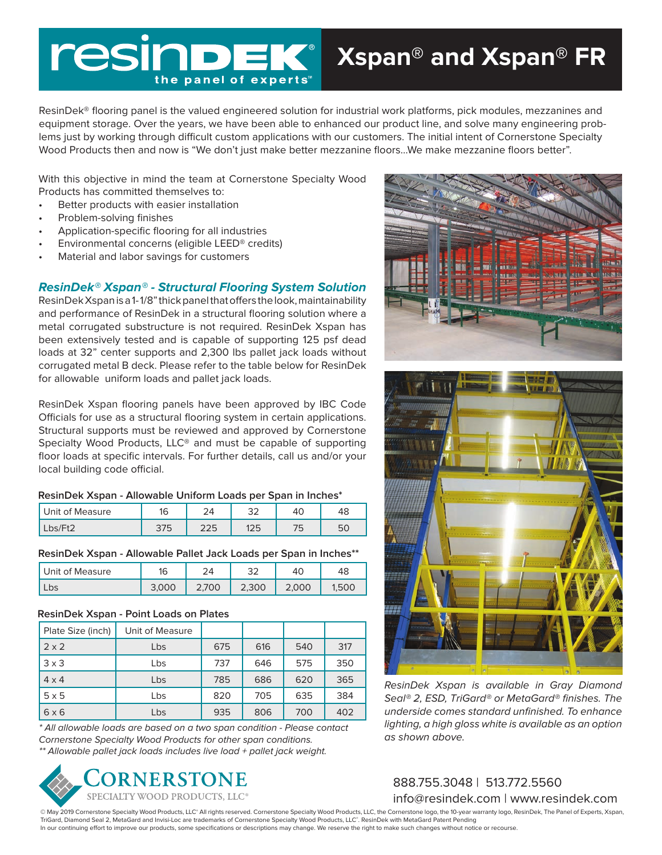# resi the panel of experts

ResinDek® flooring panel is the valued engineered solution for industrial work platforms, pick modules, mezzanines and equipment storage. Over the years, we have been able to enhanced our product line, and solve many engineering problems just by working through difficult custom applications with our customers. The initial intent of Cornerstone Specialty Wood Products then and now is "We don't just make better mezzanine floors…We make mezzanine floors better".

With this objective in mind the team at Cornerstone Specialty Wood Products has committed themselves to:

- Better products with easier installation
- Problem-solving finishes
- Application-specific flooring for all industries
- Environmental concerns (eligible LEED® credits)
- Material and labor savings for customers

### **ResinDek® Xspan® - Structural Flooring System Solution**

ResinDek Xspan is a 1- 1/8" thick panel that offers the look, maintainability and performance of ResinDek in a structural flooring solution where a metal corrugated substructure is not required. ResinDek Xspan has been extensively tested and is capable of supporting 125 psf dead loads at 32" center supports and 2,300 lbs pallet jack loads without corrugated metal B deck. Please refer to the table below for ResinDek for allowable uniform loads and pallet jack loads.

ResinDek Xspan flooring panels have been approved by IBC Code Officials for use as a structural flooring system in certain applications. Structural supports must be reviewed and approved by Cornerstone Specialty Wood Products, LLC® and must be capable of supporting floor loads at specific intervals. For further details, call us and/or your local building code official.

#### **ResinDek Xspan - Allowable Uniform Loads per Span in Inches\***

| Unit of Measure | 16<br>שו |            | $\cap$<br>ےب | 4J  |   |
|-----------------|----------|------------|--------------|-----|---|
| $Lbs/Et^2$      | 375      | つつに<br>223 | 1つに<br>ب ک ا | ر ، | 匸 |

#### **ResinDek Xspan - Allowable Pallet Jack Loads per Span in Inches\*\***

| Unit of Measure | 16    |       | $\sim$ | 40    | 48 |
|-----------------|-------|-------|--------|-------|----|
| Lbs             | 3.000 | 2,700 | 2,300  | 2,000 |    |

#### **ResinDek Xspan - Point Loads on Plates**

| Plate Size (inch) | Unit of Measure |     |     |     |     |
|-------------------|-----------------|-----|-----|-----|-----|
| $2 \times 2$      | Lbs             | 675 | 616 | 540 | 317 |
| $3 \times 3$      | Lbs             | 737 | 646 | 575 | 350 |
| $4 \times 4$      | Lbs             | 785 | 686 | 620 | 365 |
| $5 \times 5$      | Lbs             | 820 | 705 | 635 | 384 |
| 6x6               | Lbs             | 935 | 806 | 700 | 402 |

\* All allowable loads are based on a two span condition - Please contact Cornerstone Specialty Wood Products for other span conditions. \*\* Allowable pallet jack loads includes live load + pallet jack weight.







ResinDek Xspan is available in Gray Diamond Seal® 2, ESD, TriGard® or MetaGard® finishes. The underside comes standard unfinished. To enhance lighting, a high gloss white is available as an option as shown above.

888.755.3048 | 513.772.5560 info@resindek.com | www.resindek.com

© May 2019 Cornerstone Specialty Wood Products, LLC® All rights reserved. Cornerstone Specialty Wood Products, LLC, the Cornerstone logo, the 10-year warranty logo, ResinDek, The Panel of Experts, Xspan, TriGard, Diamond Seal 2, MetaGard and Invisi-Loc are trademarks of Cornerstone Specialty Wood Products, LLC®. ResinDek with MetaGard Patent Pending In our continuing effort to improve our products, some specifications or descriptions may change. We reserve the right to make such changes without notice or recourse.